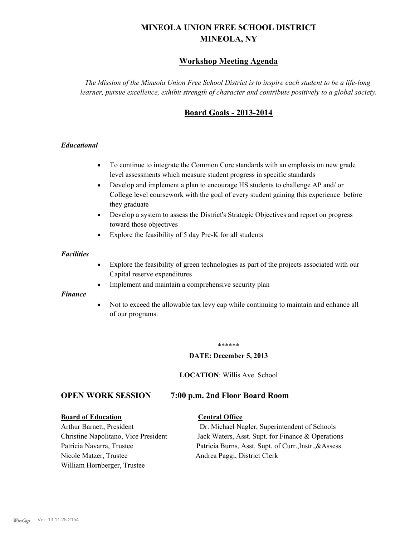# **MINEOLA UNION FREE SCHOOL DISTRICT MINEOLA, NY**

# **Workshop Meeting Agenda**

*The Mission of the Mineola Union Free School District is to inspire each student to be a life-long learner, pursue excellence, exhibit strength of character and contribute positively to a global society.*

# **Board Goals - 2013-2014**

## *Educational*

- · To continue to integrate the Common Core standards with an emphasis on new grade level assessments which measure student progress in specific standards
- · Develop and implement a plan to encourage HS students to challenge AP and/ or College level coursework with the goal of every student gaining this experience before they graduate
- Develop a system to assess the District's Strategic Objectives and report on progress toward those objectives
- · Explore the feasibility of 5 day Pre-K for all students

### *Facilities*

- · Explore the feasibility of green technologies as part of the projects associated with our Capital reserve expenditures
- Implement and maintain a comprehensive security plan

### *Finance*

• Not to exceed the allowable tax levy cap while continuing to maintain and enhance all of our programs.

#### \*\*\*\*\*\*

### **DATE: December 5, 2013**

**LOCATION**: Willis Ave. School

## **OPEN WORK SESSION 7:00 p.m. 2nd Floor Board Room**

#### **Board of Education Central Office**

Nicole Matzer, Trustee Andrea Paggi, District Clerk William Hornberger, Trustee

Arthur Barnett, President Dr. Michael Nagler, Superintendent of Schools Christine Napolitano, Vice President Jack Waters, Asst. Supt. for Finance & Operations Patricia Navarra, Trustee Patricia Burns, Asst. Supt. of Curr., Instr., &Assess.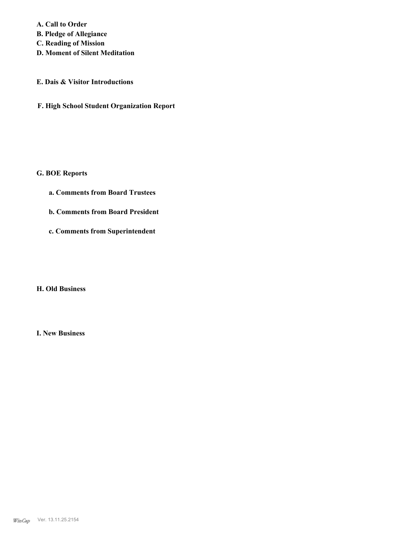**A. Call to Order B. Pledge of Allegiance C. Reading of Mission**

**D. Moment of Silent Meditation**

# **E. Dais & Visitor Introductions**

**F. High School Student Organization Report**

# **G. BOE Reports**

- **a. Comments from Board Trustees**
- **b. Comments from Board President**
- **c. Comments from Superintendent**

## **H. Old Business**

**I. New Business**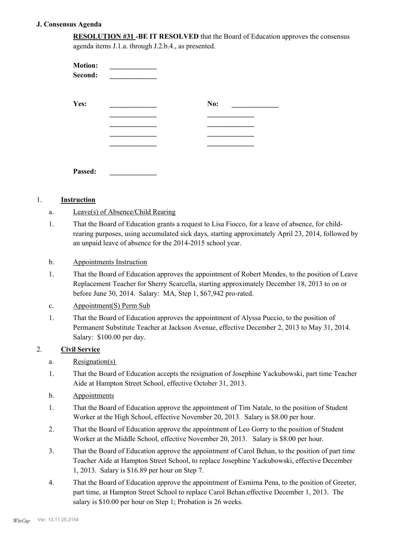## **J. Consensus Agenda**

| <b>RESOLUTION #31 -BE IT RESOLVED</b> that the Board of Education approves the consensus |
|------------------------------------------------------------------------------------------|
| agenda items J.1.a. through J.2.b.4., as presented.                                      |

| <b>Motion:</b><br>Second: |     |
|---------------------------|-----|
| Yes:                      | No: |
|                           |     |
|                           |     |
|                           |     |
| Passed:                   |     |

## 1. **Instruction**

- a. Leave(s) of Absence/Child Rearing
- That the Board of Education grants a request to Lisa Fiocco, for a leave of absence, for childrearing purposes, using accumulated sick days, starting approximately April 23, 2014, followed by an unpaid leave of absence for the 2014-2015 school year. 1.
- b. Appointments Instruction
- That the Board of Education approves the appointment of Robert Mendes, to the position of Leave Replacement Teacher for Sherry Scarcella, starting approximately December 18, 2013 to on or before June 30, 2014. Salary: MA, Step 1, \$67,942 pro-rated. 1.
- c. Appointment(S) Perm Sub
- That the Board of Education approves the appointment of Alyssa Puccio, to the position of Permanent Substitute Teacher at Jackson Avenue, effective December 2, 2013 to May 31, 2014. Salary: \$100.00 per day. 1.

## 2. **Civil Service**

- a. Resignation(s)
- That the Board of Education accepts the resignation of Josephine Yackubowski, part time Teacher Aide at Hampton Street School, effective October 31, 2013. 1.
- b. Appointments
- That the Board of Education approve the appointment of Tim Natale, to the position of Student Worker at the High School, effective November 20, 2013. Salary is \$8.00 per hour. 1.
- That the Board of Education approve the appointment of Leo Gorry to the position of Student Worker at the Middle School, effective November 20, 2013. Salary is \$8.00 per hour. 2.
- That the Board of Education approve the appointment of Carol Behan, to the position of part time Teacher Aide at Hampton Street School, to replace Josephine Yackubowski, effective December 1, 2013. Salary is \$16.89 per hour on Step 7. 3.
- That the Board of Education approve the appointment of Esmirna Pena, to the position of Greeter, part time, at Hampton Street School to replace Carol Behan.effective December 1, 2013. The salary is \$10.00 per hour on Step 1; Probation is 26 weeks. 4.